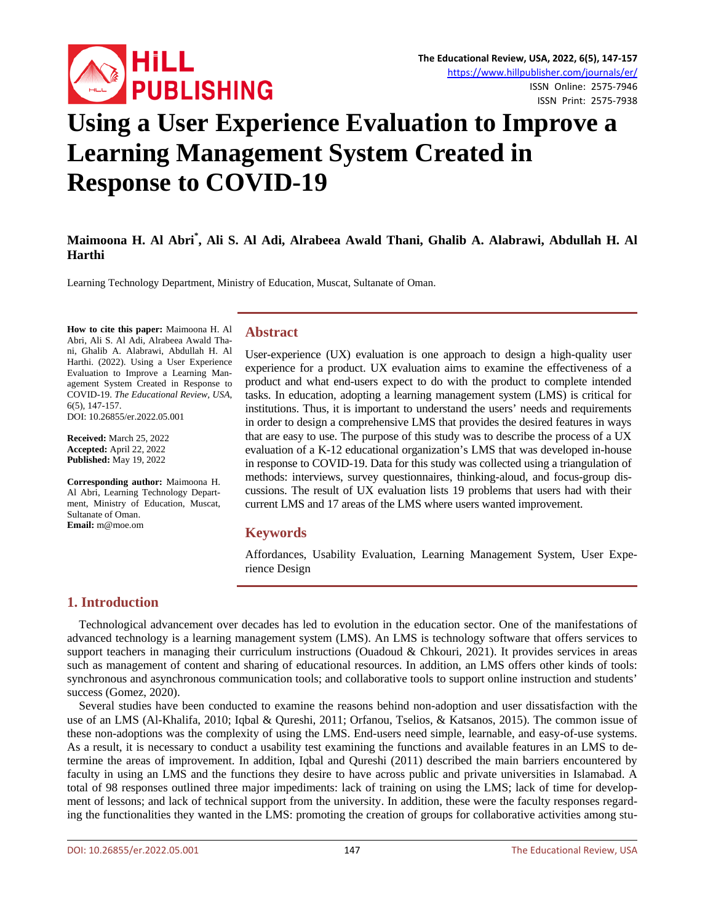

# **Using a User Experience Evaluation to Improve a Learning Management System Created in Response to COVID-19**

# **Maimoona H. Al Abri\* , Ali S. Al Adi, Alrabeea Awald Thani, Ghalib A. Alabrawi, Abdullah H. Al Harthi**

Learning Technology Department, Ministry of Education, Muscat, Sultanate of Oman.

**How to cite this paper:** Maimoona H. Al Abri, Ali S. Al Adi, Alrabeea Awald Thani, Ghalib A. Alabrawi, Abdullah H. Al Harthi. (2022). Using a User Experience Evaluation to Improve a Learning Management System Created in Response to COVID-19. *The Educational Review, USA*, 6(5), 147-157. DOI: 10.26855/er.2022.05.001

**Received:** March 25, 2022

**Accepted:** April 22, 2022 **Published:** May 19, 2022

**Corresponding author:** Maimoona H. Al Abri, Learning Technology Department, Ministry of Education, Muscat, Sultanate of Oman. **Email:** m@moe.om

#### **Abstract**

User-experience (UX) evaluation is one approach to design a high-quality user experience for a product. UX evaluation aims to examine the effectiveness of a product and what end-users expect to do with the product to complete intended tasks. In education, adopting a learning management system (LMS) is critical for institutions. Thus, it is important to understand the users' needs and requirements in order to design a comprehensive LMS that provides the desired features in ways that are easy to use. The purpose of this study was to describe the process of a UX evaluation of a K-12 educational organization's LMS that was developed in-house in response to COVID-19. Data for this study was collected using a triangulation of methods: interviews, survey questionnaires, thinking-aloud, and focus-group discussions. The result of UX evaluation lists 19 problems that users had with their current LMS and 17 areas of the LMS where users wanted improvement.

#### **Keywords**

Affordances, Usability Evaluation, Learning Management System, User Experience Design

## **1. Introduction**

Technological advancement over decades has led to evolution in the education sector. One of the manifestations of advanced technology is a learning management system (LMS). An LMS is technology software that offers services to support teachers in managing their curriculum instructions (Ouadoud & Chkouri, 2021). It provides services in areas such as management of content and sharing of educational resources. In addition, an LMS offers other kinds of tools: synchronous and asynchronous communication tools; and collaborative tools to support online instruction and students' success (Gomez, 2020).

Several studies have been conducted to examine the reasons behind non-adoption and user dissatisfaction with the use of an LMS (Al-Khalifa, 2010; Iqbal & Qureshi, 2011; Orfanou, Tselios, & Katsanos, 2015). The common issue of these non-adoptions was the complexity of using the LMS. End-users need simple, learnable, and easy-of-use systems. As a result, it is necessary to conduct a usability test examining the functions and available features in an LMS to determine the areas of improvement. In addition, Iqbal and Qureshi (2011) described the main barriers encountered by faculty in using an LMS and the functions they desire to have across public and private universities in Islamabad. A total of 98 responses outlined three major impediments: lack of training on using the LMS; lack of time for development of lessons; and lack of technical support from the university. In addition, these were the faculty responses regarding the functionalities they wanted in the LMS: promoting the creation of groups for collaborative activities among stu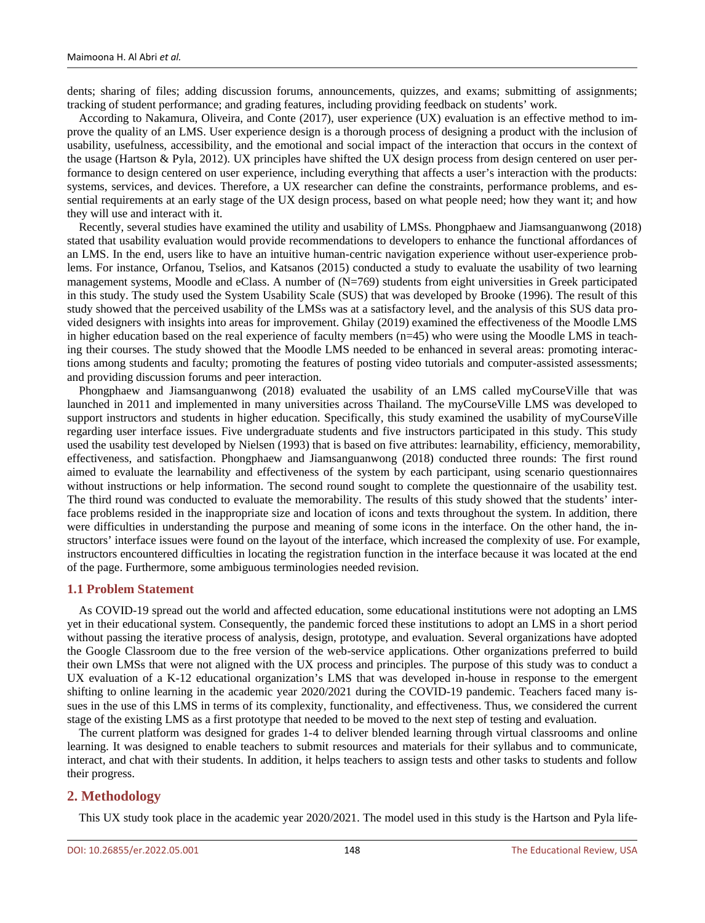dents; sharing of files; adding discussion forums, announcements, quizzes, and exams; submitting of assignments; tracking of student performance; and grading features, including providing feedback on students' work.

According to Nakamura, Oliveira, and Conte (2017), user experience (UX) evaluation is an effective method to improve the quality of an LMS. User experience design is a thorough process of designing a product with the inclusion of usability, usefulness, accessibility, and the emotional and social impact of the interaction that occurs in the context of the usage (Hartson & Pyla, 2012). UX principles have shifted the UX design process from design centered on user performance to design centered on user experience, including everything that affects a user's interaction with the products: systems, services, and devices. Therefore, a UX researcher can define the constraints, performance problems, and essential requirements at an early stage of the UX design process, based on what people need; how they want it; and how they will use and interact with it.

Recently, several studies have examined the utility and usability of LMSs. Phongphaew and Jiamsanguanwong (2018) stated that usability evaluation would provide recommendations to developers to enhance the functional affordances of an LMS. In the end, users like to have an intuitive human-centric navigation experience without user-experience problems. For instance, Orfanou, Tselios, and Katsanos (2015) conducted a study to evaluate the usability of two learning management systems, Moodle and eClass. A number of  $(N=769)$  students from eight universities in Greek participated in this study. The study used the System Usability Scale (SUS) that was developed by Brooke (1996). The result of this study showed that the perceived usability of the LMSs was at a satisfactory level, and the analysis of this SUS data provided designers with insights into areas for improvement. Ghilay (2019) examined the effectiveness of the Moodle LMS in higher education based on the real experience of faculty members (n=45) who were using the Moodle LMS in teaching their courses. The study showed that the Moodle LMS needed to be enhanced in several areas: promoting interactions among students and faculty; promoting the features of posting video tutorials and computer-assisted assessments; and providing discussion forums and peer interaction.

Phongphaew and Jiamsanguanwong (2018) evaluated the usability of an LMS called myCourseVille that was launched in 2011 and implemented in many universities across Thailand. The myCourseVille LMS was developed to support instructors and students in higher education. Specifically, this study examined the usability of myCourseVille regarding user interface issues. Five undergraduate students and five instructors participated in this study. This study used the usability test developed by Nielsen (1993) that is based on five attributes: learnability, efficiency, memorability, effectiveness, and satisfaction. Phongphaew and Jiamsanguanwong (2018) conducted three rounds: The first round aimed to evaluate the learnability and effectiveness of the system by each participant, using scenario questionnaires without instructions or help information. The second round sought to complete the questionnaire of the usability test. The third round was conducted to evaluate the memorability. The results of this study showed that the students' interface problems resided in the inappropriate size and location of icons and texts throughout the system. In addition, there were difficulties in understanding the purpose and meaning of some icons in the interface. On the other hand, the instructors' interface issues were found on the layout of the interface, which increased the complexity of use. For example, instructors encountered difficulties in locating the registration function in the interface because it was located at the end of the page. Furthermore, some ambiguous terminologies needed revision.

#### **1.1 Problem Statement**

As COVID-19 spread out the world and affected education, some educational institutions were not adopting an LMS yet in their educational system. Consequently, the pandemic forced these institutions to adopt an LMS in a short period without passing the iterative process of analysis, design, prototype, and evaluation. Several organizations have adopted the Google Classroom due to the free version of the web-service applications. Other organizations preferred to build their own LMSs that were not aligned with the UX process and principles. The purpose of this study was to conduct a UX evaluation of a K-12 educational organization's LMS that was developed in-house in response to the emergent shifting to online learning in the academic year 2020/2021 during the COVID-19 pandemic. Teachers faced many issues in the use of this LMS in terms of its complexity, functionality, and effectiveness. Thus, we considered the current stage of the existing LMS as a first prototype that needed to be moved to the next step of testing and evaluation.

The current platform was designed for grades 1-4 to deliver blended learning through virtual classrooms and online learning. It was designed to enable teachers to submit resources and materials for their syllabus and to communicate, interact, and chat with their students. In addition, it helps teachers to assign tests and other tasks to students and follow their progress.

#### **2. Methodology**

This UX study took place in the academic year 2020/2021. The model used in this study is the Hartson and Pyla life-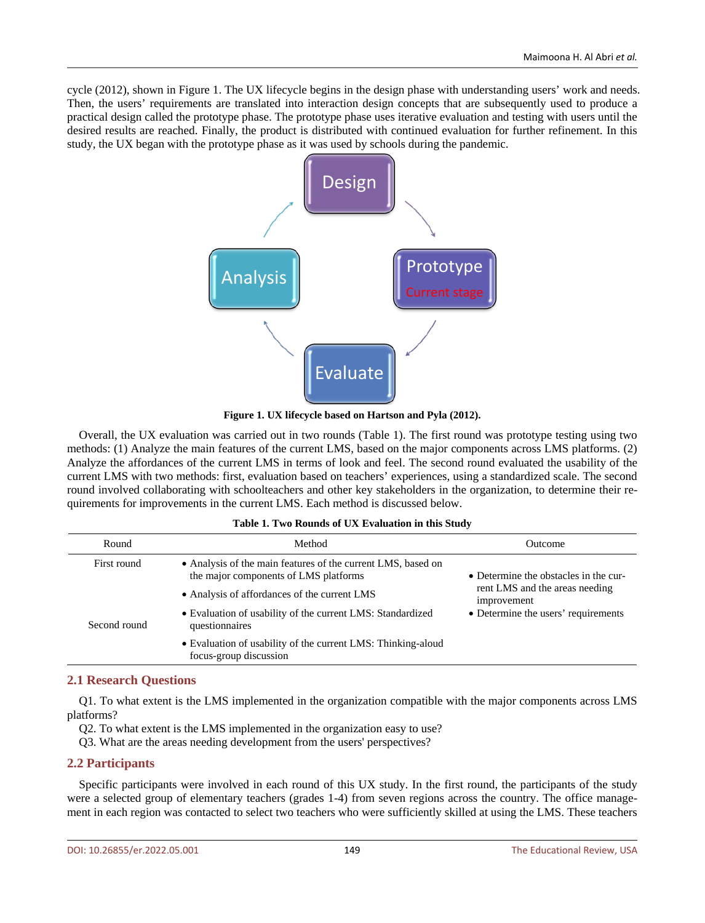cycle (2012), shown in Figure 1. The UX lifecycle begins in the design phase with understanding users' work and needs. Then, the users' requirements are translated into interaction design concepts that are subsequently used to produce a practical design called the prototype phase. The prototype phase uses iterative evaluation and testing with users until the desired results are reached. Finally, the product is distributed with continued evaluation for further refinement. In this study, the UX began with the prototype phase as it was used by schools during the pandemic.



**Figure 1. UX lifecycle based on Hartson and Pyla (2012).**

Overall, the UX evaluation was carried out in two rounds (Table 1). The first round was prototype testing using two methods: (1) Analyze the main features of the current LMS, based on the major components across LMS platforms. (2) Analyze the affordances of the current LMS in terms of look and feel. The second round evaluated the usability of the current LMS with two methods: first, evaluation based on teachers' experiences, using a standardized scale. The second round involved collaborating with schoolteachers and other key stakeholders in the organization, to determine their requirements for improvements in the current LMS. Each method is discussed below.

#### **Table 1. Two Rounds of UX Evaluation in this Study**

| Round        | Method                                                                                                | <b>Outcome</b>                                |  |
|--------------|-------------------------------------------------------------------------------------------------------|-----------------------------------------------|--|
| First round  | • Analysis of the main features of the current LMS, based on<br>the major components of LMS platforms | • Determine the obstacles in the cur-         |  |
|              | • Analysis of affordances of the current LMS                                                          | rent LMS and the areas needing<br>improvement |  |
| Second round | • Evaluation of usability of the current LMS: Standardized<br>questionnaires                          | • Determine the users' requirements           |  |
|              | • Evaluation of usability of the current LMS: Thinking-aloud<br>focus-group discussion                |                                               |  |

#### **2.1 Research Questions**

Q1. To what extent is the LMS implemented in the organization compatible with the major components across LMS platforms?

Q2. To what extent is the LMS implemented in the organization easy to use?

Q3. What are the areas needing development from the users' perspectives?

#### **2.2 Participants**

Specific participants were involved in each round of this UX study. In the first round, the participants of the study were a selected group of elementary teachers (grades 1-4) from seven regions across the country. The office management in each region was contacted to select two teachers who were sufficiently skilled at using the LMS. These teachers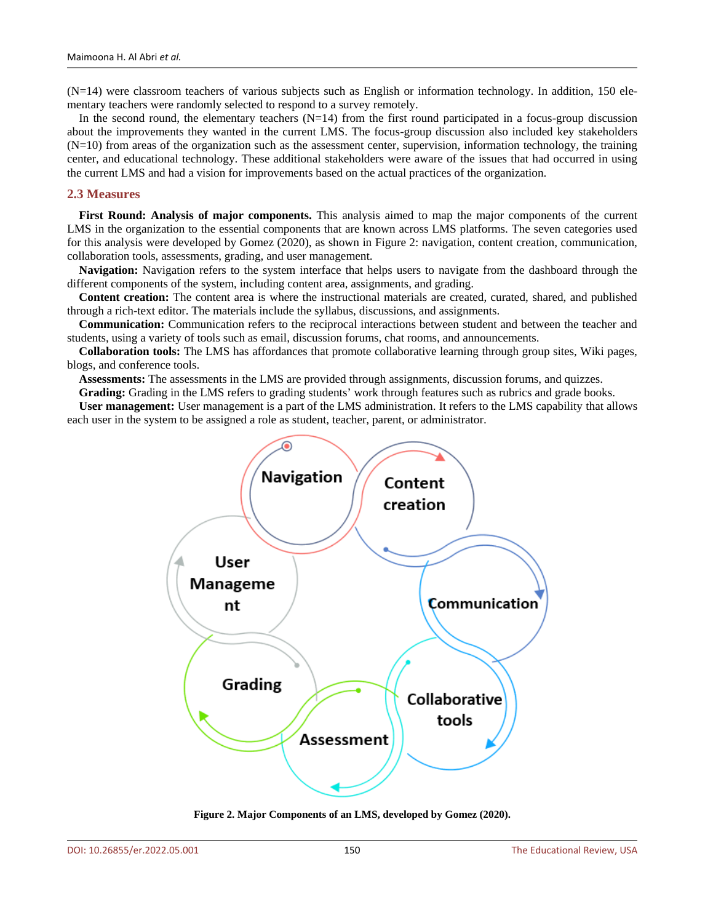(N=14) were classroom teachers of various subjects such as English or information technology. In addition, 150 elementary teachers were randomly selected to respond to a survey remotely.

In the second round, the elementary teachers  $(N=14)$  from the first round participated in a focus-group discussion about the improvements they wanted in the current LMS. The focus-group discussion also included key stakeholders  $(N=10)$  from areas of the organization such as the assessment center, supervision, information technology, the training center, and educational technology. These additional stakeholders were aware of the issues that had occurred in using the current LMS and had a vision for improvements based on the actual practices of the organization.

#### **2.3 Measures**

**First Round: Analysis of major components.** This analysis aimed to map the major components of the current LMS in the organization to the essential components that are known across LMS platforms. The seven categories used for this analysis were developed by Gomez (2020), as shown in Figure 2: navigation, content creation, communication, collaboration tools, assessments, grading, and user management.

**Navigation:** Navigation refers to the system interface that helps users to navigate from the dashboard through the different components of the system, including content area, assignments, and grading.

**Content creation:** The content area is where the instructional materials are created, curated, shared, and published through a rich-text editor. The materials include the syllabus, discussions, and assignments.

**Communication:** Communication refers to the reciprocal interactions between student and between the teacher and students, using a variety of tools such as email, discussion forums, chat rooms, and announcements.

**Collaboration tools:** The LMS has affordances that promote collaborative learning through group sites, Wiki pages, blogs, and conference tools.

**Assessments:** The assessments in the LMS are provided through assignments, discussion forums, and quizzes.

**Grading:** Grading in the LMS refers to grading students' work through features such as rubrics and grade books.

**User management:** User management is a part of the LMS administration. It refers to the LMS capability that allows each user in the system to be assigned a role as student, teacher, parent, or administrator.



**Figure 2. Major Components of an LMS, developed by Gomez (2020).**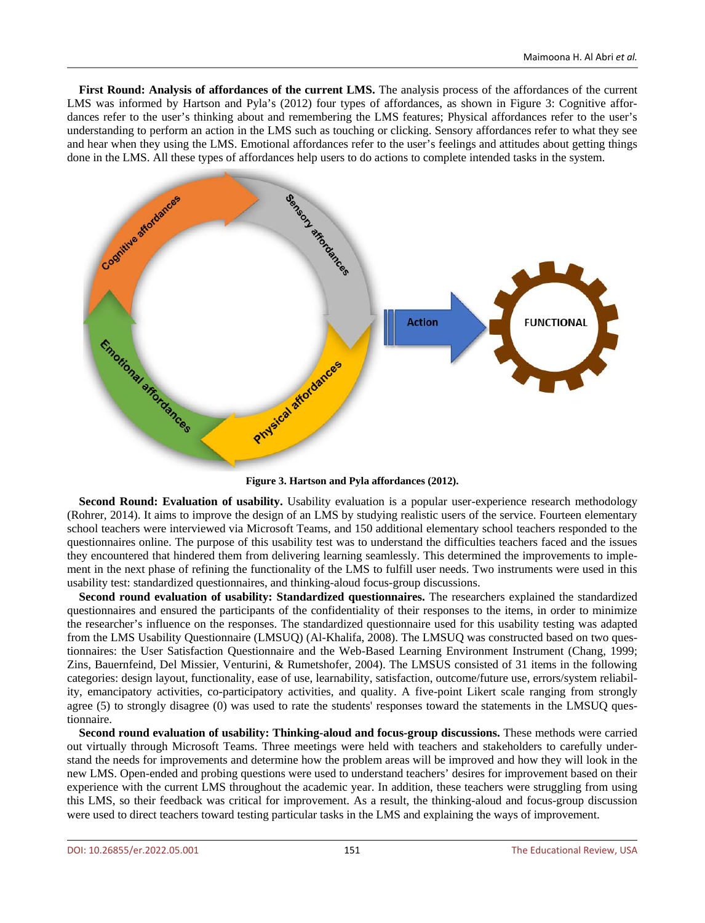**First Round: Analysis of affordances of the current LMS.** The analysis process of the affordances of the current LMS was informed by Hartson and Pyla's (2012) four types of affordances, as shown in Figure 3: Cognitive affordances refer to the user's thinking about and remembering the LMS features; Physical affordances refer to the user's understanding to perform an action in the LMS such as touching or clicking. Sensory affordances refer to what they see and hear when they using the LMS. Emotional affordances refer to the user's feelings and attitudes about getting things done in the LMS. All these types of affordances help users to do actions to complete intended tasks in the system.



**Figure 3. Hartson and Pyla affordances (2012).**

**Second Round: Evaluation of usability.** Usability evaluation is a popular user-experience research methodology (Rohrer, 2014). It aims to improve the design of an LMS by studying realistic users of the service. Fourteen elementary school teachers were interviewed via Microsoft Teams, and 150 additional elementary school teachers responded to the questionnaires online. The purpose of this usability test was to understand the difficulties teachers faced and the issues they encountered that hindered them from delivering learning seamlessly. This determined the improvements to implement in the next phase of refining the functionality of the LMS to fulfill user needs. Two instruments were used in this usability test: standardized questionnaires, and thinking-aloud focus-group discussions.

**Second round evaluation of usability: Standardized questionnaires.** The researchers explained the standardized questionnaires and ensured the participants of the confidentiality of their responses to the items, in order to minimize the researcher's influence on the responses. The standardized questionnaire used for this usability testing was adapted from the LMS Usability Questionnaire (LMSUQ) (Al-Khalifa, 2008). The LMSUQ was constructed based on two questionnaires: the User Satisfaction Questionnaire and the Web-Based Learning Environment Instrument (Chang, 1999; Zins, Bauernfeind, Del Missier, Venturini, & Rumetshofer, 2004). The LMSUS consisted of 31 items in the following categories: design layout, functionality, ease of use, learnability, satisfaction, outcome/future use, errors/system reliability, emancipatory activities, co-participatory activities, and quality. A five-point Likert scale ranging from strongly agree (5) to strongly disagree (0) was used to rate the students' responses toward the statements in the LMSUQ questionnaire.

**Second round evaluation of usability: Thinking-aloud and focus-group discussions.** These methods were carried out virtually through Microsoft Teams. Three meetings were held with teachers and stakeholders to carefully understand the needs for improvements and determine how the problem areas will be improved and how they will look in the new LMS. Open-ended and probing questions were used to understand teachers' desires for improvement based on their experience with the current LMS throughout the academic year. In addition, these teachers were struggling from using this LMS, so their feedback was critical for improvement. As a result, the thinking-aloud and focus-group discussion were used to direct teachers toward testing particular tasks in the LMS and explaining the ways of improvement.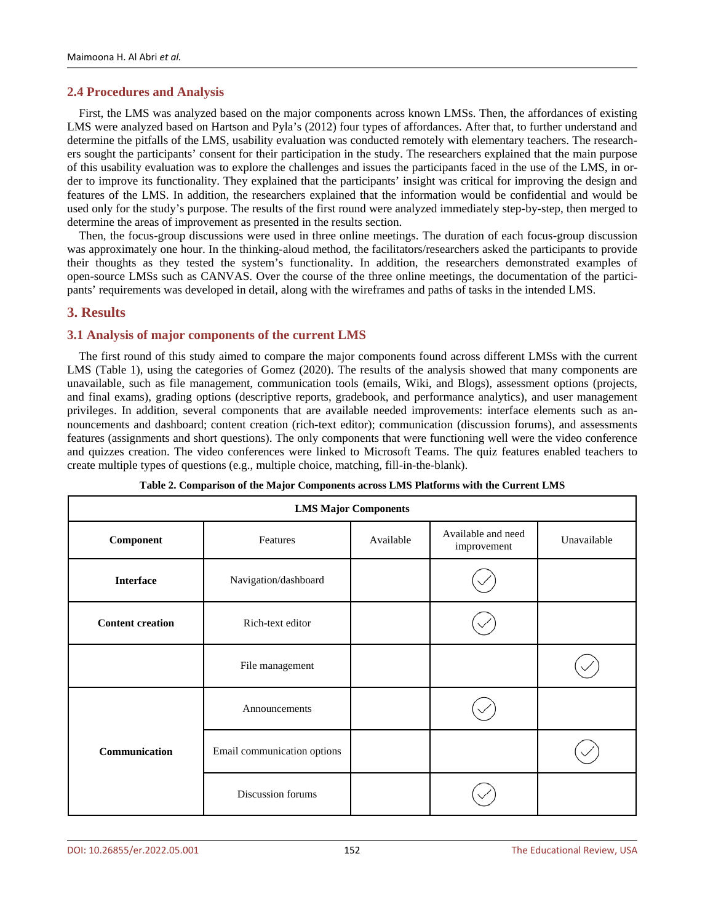#### **2.4 Procedures and Analysis**

First, the LMS was analyzed based on the major components across known LMSs. Then, the affordances of existing LMS were analyzed based on Hartson and Pyla's (2012) four types of affordances. After that, to further understand and determine the pitfalls of the LMS, usability evaluation was conducted remotely with elementary teachers. The researchers sought the participants' consent for their participation in the study. The researchers explained that the main purpose of this usability evaluation was to explore the challenges and issues the participants faced in the use of the LMS, in order to improve its functionality. They explained that the participants' insight was critical for improving the design and features of the LMS. In addition, the researchers explained that the information would be confidential and would be used only for the study's purpose. The results of the first round were analyzed immediately step-by-step, then merged to determine the areas of improvement as presented in the results section.

Then, the focus-group discussions were used in three online meetings. The duration of each focus-group discussion was approximately one hour. In the thinking-aloud method, the facilitators/researchers asked the participants to provide their thoughts as they tested the system's functionality. In addition, the researchers demonstrated examples of open-source LMSs such as CANVAS. Over the course of the three online meetings, the documentation of the participants' requirements was developed in detail, along with the wireframes and paths of tasks in the intended LMS.

#### **3. Results**

#### **3.1 Analysis of major components of the current LMS**

The first round of this study aimed to compare the major components found across different LMSs with the current LMS (Table 1), using the categories of Gomez (2020). The results of the analysis showed that many components are unavailable, such as file management, communication tools (emails, Wiki, and Blogs), assessment options (projects, and final exams), grading options (descriptive reports, gradebook, and performance analytics), and user management privileges. In addition, several components that are available needed improvements: interface elements such as announcements and dashboard; content creation (rich-text editor); communication (discussion forums), and assessments features (assignments and short questions). The only components that were functioning well were the video conference and quizzes creation. The video conferences were linked to Microsoft Teams. The quiz features enabled teachers to create multiple types of questions (e.g., multiple choice, matching, fill-in-the-blank).

| <b>LMS Major Components</b> |                             |           |                                   |             |  |
|-----------------------------|-----------------------------|-----------|-----------------------------------|-------------|--|
| <b>Component</b>            | Features                    | Available | Available and need<br>improvement | Unavailable |  |
| <b>Interface</b>            | Navigation/dashboard        |           |                                   |             |  |
| <b>Content creation</b>     | Rich-text editor            |           |                                   |             |  |
|                             | File management             |           |                                   |             |  |
|                             | Announcements               |           |                                   |             |  |
| Communication               | Email communication options |           |                                   |             |  |
|                             | Discussion forums           |           |                                   |             |  |

| Table 2. Comparison of the Major Components across LMS Platforms with the Current LMS |
|---------------------------------------------------------------------------------------|
|---------------------------------------------------------------------------------------|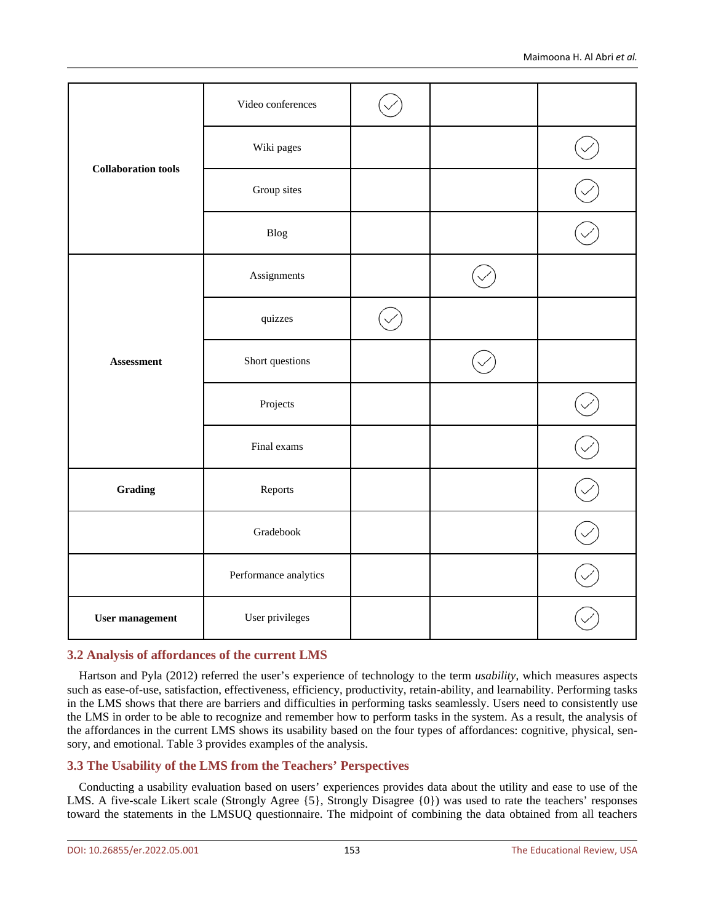|                                           | Video conferences     |  |  |
|-------------------------------------------|-----------------------|--|--|
| <b>Collaboration tools</b>                | Wiki pages            |  |  |
|                                           | Group sites           |  |  |
|                                           | ${\rm B} {\rm log}$   |  |  |
|                                           | Assignments           |  |  |
| Assessment                                | quizzes               |  |  |
|                                           | Short questions       |  |  |
|                                           | Projects              |  |  |
|                                           | Final exams           |  |  |
| Grading                                   | Reports               |  |  |
|                                           | Gradebook             |  |  |
|                                           | Performance analytics |  |  |
| User privileges<br><b>User management</b> |                       |  |  |

## **3.2 Analysis of affordances of the current LMS**

Hartson and Pyla (2012) referred the user's experience of technology to the term *usability*, which measures aspects such as ease-of-use, satisfaction, effectiveness, efficiency, productivity, retain-ability, and learnability. Performing tasks in the LMS shows that there are barriers and difficulties in performing tasks seamlessly. Users need to consistently use the LMS in order to be able to recognize and remember how to perform tasks in the system. As a result, the analysis of the affordances in the current LMS shows its usability based on the four types of affordances: cognitive, physical, sensory, and emotional. Table 3 provides examples of the analysis.

# **3.3 The Usability of the LMS from the Teachers' Perspectives**

Conducting a usability evaluation based on users' experiences provides data about the utility and ease to use of the LMS. A five-scale Likert scale (Strongly Agree {5}, Strongly Disagree {0}) was used to rate the teachers' responses toward the statements in the LMSUQ questionnaire. The midpoint of combining the data obtained from all teachers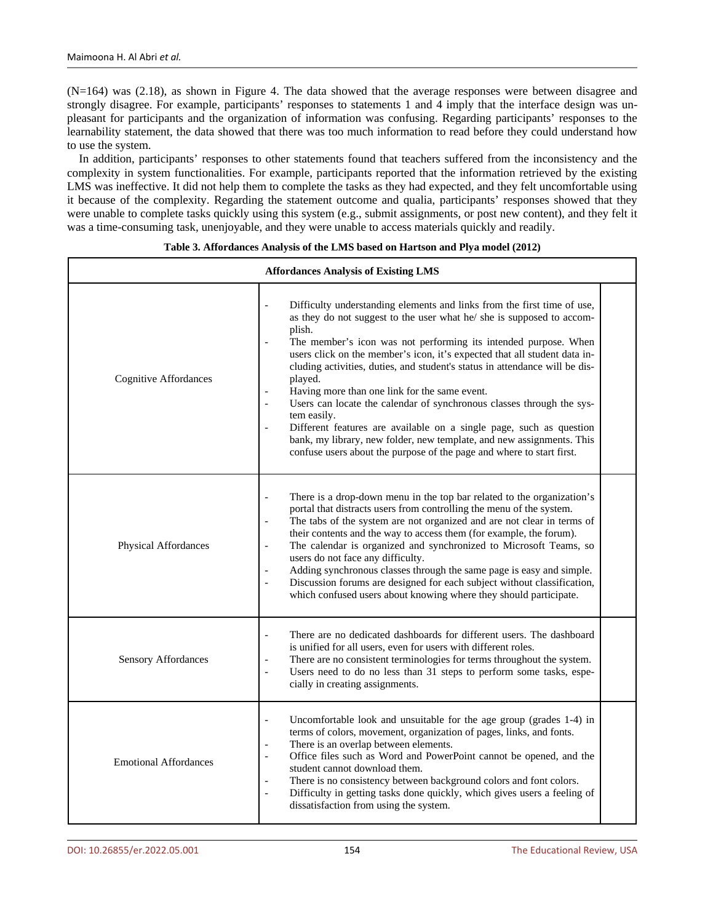(N=164) was (2.18), as shown in Figure 4. The data showed that the average responses were between disagree and strongly disagree. For example, participants' responses to statements 1 and 4 imply that the interface design was unpleasant for participants and the organization of information was confusing. Regarding participants' responses to the learnability statement, the data showed that there was too much information to read before they could understand how to use the system.

In addition, participants' responses to other statements found that teachers suffered from the inconsistency and the complexity in system functionalities. For example, participants reported that the information retrieved by the existing LMS was ineffective. It did not help them to complete the tasks as they had expected, and they felt uncomfortable using it because of the complexity. Regarding the statement outcome and qualia, participants' responses showed that they were unable to complete tasks quickly using this system (e.g., submit assignments, or post new content), and they felt it was a time-consuming task, unenjoyable, and they were unable to access materials quickly and readily.

| <b>Affordances Analysis of Existing LMS</b> |                                                                                                                                                                                                                                                                                                                                                                                                                                                                                                                                                                                                                                                                                                                                                                                                    |  |  |  |  |
|---------------------------------------------|----------------------------------------------------------------------------------------------------------------------------------------------------------------------------------------------------------------------------------------------------------------------------------------------------------------------------------------------------------------------------------------------------------------------------------------------------------------------------------------------------------------------------------------------------------------------------------------------------------------------------------------------------------------------------------------------------------------------------------------------------------------------------------------------------|--|--|--|--|
| <b>Cognitive Affordances</b>                | Difficulty understanding elements and links from the first time of use,<br>as they do not suggest to the user what he/ she is supposed to accom-<br>plish.<br>The member's icon was not performing its intended purpose. When<br>$\overline{\phantom{a}}$<br>users click on the member's icon, it's expected that all student data in-<br>cluding activities, duties, and student's status in attendance will be dis-<br>played.<br>Having more than one link for the same event.<br>Users can locate the calendar of synchronous classes through the sys-<br>tem easily.<br>Different features are available on a single page, such as question<br>bank, my library, new folder, new template, and new assignments. This<br>confuse users about the purpose of the page and where to start first. |  |  |  |  |
| Physical Affordances                        | There is a drop-down menu in the top bar related to the organization's<br>$\overline{\phantom{m}}$<br>portal that distracts users from controlling the menu of the system.<br>The tabs of the system are not organized and are not clear in terms of<br>$\blacksquare$<br>their contents and the way to access them (for example, the forum).<br>The calendar is organized and synchronized to Microsoft Teams, so<br>users do not face any difficulty.<br>Adding synchronous classes through the same page is easy and simple.<br>Discussion forums are designed for each subject without classification,<br>$\overline{\phantom{a}}$<br>which confused users about knowing where they should participate.                                                                                        |  |  |  |  |
| <b>Sensory Affordances</b>                  | There are no dedicated dashboards for different users. The dashboard<br>is unified for all users, even for users with different roles.<br>There are no consistent terminologies for terms throughout the system.<br>Users need to do no less than 31 steps to perform some tasks, espe-<br>$\overline{\phantom{a}}$<br>cially in creating assignments.                                                                                                                                                                                                                                                                                                                                                                                                                                             |  |  |  |  |
| <b>Emotional Affordances</b>                | Uncomfortable look and unsuitable for the age group (grades 1-4) in<br>$\overline{\phantom{a}}$<br>terms of colors, movement, organization of pages, links, and fonts.<br>There is an overlap between elements.<br>Office files such as Word and PowerPoint cannot be opened, and the<br>$\blacksquare$<br>student cannot download them.<br>There is no consistency between background colors and font colors.<br>Difficulty in getting tasks done quickly, which gives users a feeling of<br>$\frac{1}{2}$<br>dissatisfaction from using the system.                                                                                                                                                                                                                                              |  |  |  |  |

#### **Table 3. Affordances Analysis of the LMS based on Hartson and Plya model (2012)**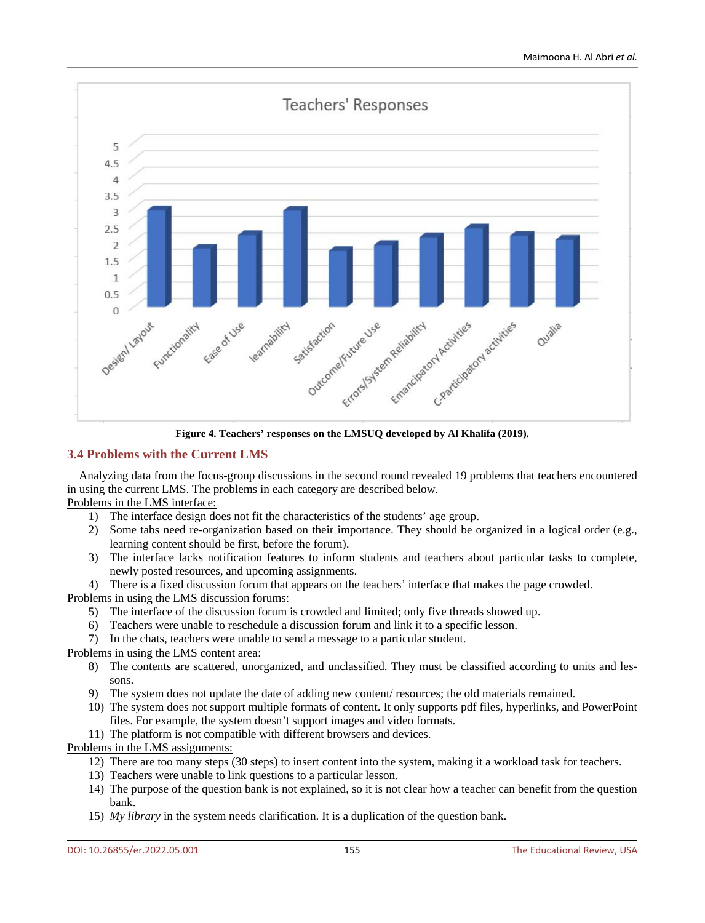

**Figure 4. Teachers' responses on the LMSUQ developed by Al Khalifa (2019).**

## **3.4 Problems with the Current LMS**

Analyzing data from the focus-group discussions in the second round revealed 19 problems that teachers encountered in using the current LMS. The problems in each category are described below.

#### Problems in the LMS interface:

- 1) The interface design does not fit the characteristics of the students' age group.
- 2) Some tabs need re-organization based on their importance. They should be organized in a logical order (e.g., learning content should be first, before the forum).
- 3) The interface lacks notification features to inform students and teachers about particular tasks to complete, newly posted resources, and upcoming assignments.
- 4) There is a fixed discussion forum that appears on the teachers' interface that makes the page crowded.

#### Problems in using the LMS discussion forums:

- 5) The interface of the discussion forum is crowded and limited; only five threads showed up.
- 6) Teachers were unable to reschedule a discussion forum and link it to a specific lesson.
- 7) In the chats, teachers were unable to send a message to a particular student.

## Problems in using the LMS content area:

- 8) The contents are scattered, unorganized, and unclassified. They must be classified according to units and lessons.
- 9) The system does not update the date of adding new content/ resources; the old materials remained.
- 10) The system does not support multiple formats of content. It only supports pdf files, hyperlinks, and PowerPoint files. For example, the system doesn't support images and video formats.
- 11) The platform is not compatible with different browsers and devices.

#### Problems in the LMS assignments:

- 12) There are too many steps (30 steps) to insert content into the system, making it a workload task for teachers.
- 13) Teachers were unable to link questions to a particular lesson.
- 14) The purpose of the question bank is not explained, so it is not clear how a teacher can benefit from the question bank.
- 15) *My library* in the system needs clarification. It is a duplication of the question bank.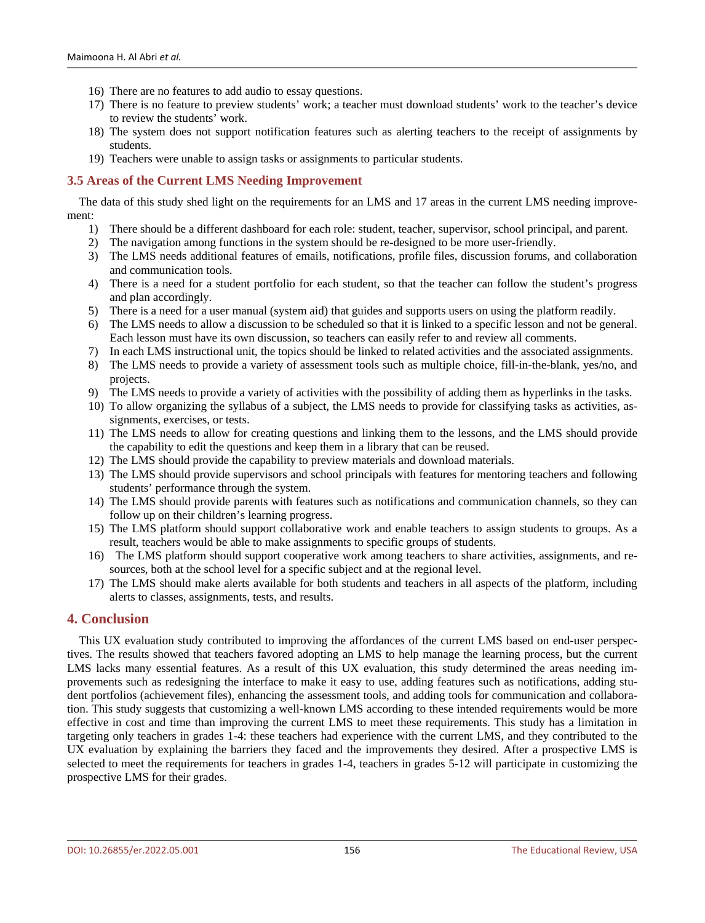- 16) There are no features to add audio to essay questions.
- 17) There is no feature to preview students' work; a teacher must download students' work to the teacher's device to review the students' work.
- 18) The system does not support notification features such as alerting teachers to the receipt of assignments by students.
- 19) Teachers were unable to assign tasks or assignments to particular students.

#### **3.5 Areas of the Current LMS Needing Improvement**

The data of this study shed light on the requirements for an LMS and 17 areas in the current LMS needing improvement:

- 1) There should be a different dashboard for each role: student, teacher, supervisor, school principal, and parent.
- 2) The navigation among functions in the system should be re-designed to be more user-friendly.
- 3) The LMS needs additional features of emails, notifications, profile files, discussion forums, and collaboration and communication tools.
- 4) There is a need for a student portfolio for each student, so that the teacher can follow the student's progress and plan accordingly.
- 5) There is a need for a user manual (system aid) that guides and supports users on using the platform readily.
- 6) The LMS needs to allow a discussion to be scheduled so that it is linked to a specific lesson and not be general. Each lesson must have its own discussion, so teachers can easily refer to and review all comments.
- 7) In each LMS instructional unit, the topics should be linked to related activities and the associated assignments.
- 8) The LMS needs to provide a variety of assessment tools such as multiple choice, fill-in-the-blank, yes/no, and projects.
- 9) The LMS needs to provide a variety of activities with the possibility of adding them as hyperlinks in the tasks.
- 10) To allow organizing the syllabus of a subject, the LMS needs to provide for classifying tasks as activities, assignments, exercises, or tests.
- 11) The LMS needs to allow for creating questions and linking them to the lessons, and the LMS should provide the capability to edit the questions and keep them in a library that can be reused.
- 12) The LMS should provide the capability to preview materials and download materials.
- 13) The LMS should provide supervisors and school principals with features for mentoring teachers and following students' performance through the system.
- 14) The LMS should provide parents with features such as notifications and communication channels, so they can follow up on their children's learning progress.
- 15) The LMS platform should support collaborative work and enable teachers to assign students to groups. As a result, teachers would be able to make assignments to specific groups of students.
- 16) The LMS platform should support cooperative work among teachers to share activities, assignments, and resources, both at the school level for a specific subject and at the regional level.
- 17) The LMS should make alerts available for both students and teachers in all aspects of the platform, including alerts to classes, assignments, tests, and results.

#### **4. Conclusion**

This UX evaluation study contributed to improving the affordances of the current LMS based on end-user perspectives. The results showed that teachers favored adopting an LMS to help manage the learning process, but the current LMS lacks many essential features. As a result of this UX evaluation, this study determined the areas needing improvements such as redesigning the interface to make it easy to use, adding features such as notifications, adding student portfolios (achievement files), enhancing the assessment tools, and adding tools for communication and collaboration. This study suggests that customizing a well-known LMS according to these intended requirements would be more effective in cost and time than improving the current LMS to meet these requirements. This study has a limitation in targeting only teachers in grades 1-4: these teachers had experience with the current LMS, and they contributed to the UX evaluation by explaining the barriers they faced and the improvements they desired. After a prospective LMS is selected to meet the requirements for teachers in grades 1-4, teachers in grades 5-12 will participate in customizing the prospective LMS for their grades.